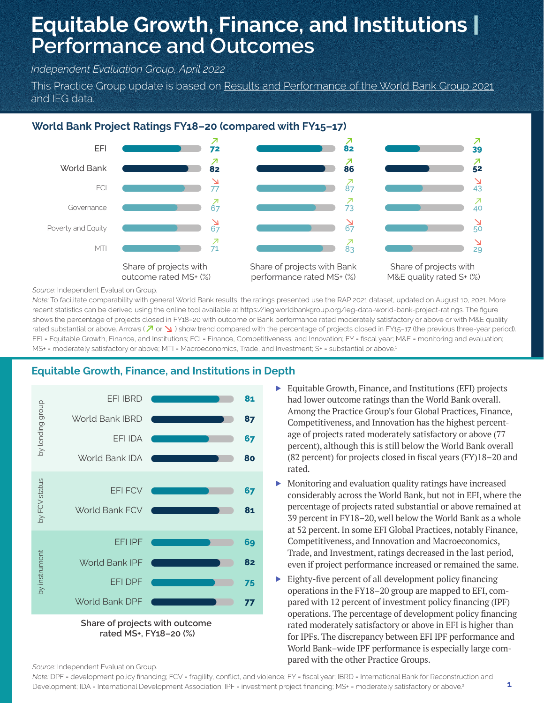# **Equitable Growth, Finance, and Institutions** | **Performance and Outcomes**

*Independent Evaluation Group, April 2022*

This Practice Group update is based on Results and Performance of the World Bank Group 2021 and IEG data.

## **World Bank Project Ratings FY18–20 (compared with FY15–17)**



*Source:* Independent Evaluation Group.

*Note:* To facilitate comparability with general World Bank results, the ratings presented use the RAP 2021 dataset, updated on August 10, 2021. More recent statistics can be derived using the online tool available at https://ieg.worldbankgroup.org/ieg-data-world-bank-project-ratings. The figure shows the percentage of projects closed in FY18–20 with outcome or Bank performance rated moderately satisfactory or above or with M&E quality rated substantial or above. Arrows ( $\sqrt{2}$  or  $\sqrt{2}$ ) show trend compared with the percentage of projects closed in FY15-17 (the previous three-year period). EFI = Equitable Growth, Finance, and Institutions; FCI = Finance, Competitiveness, and Innovation; FY = fiscal year; M&E = monitoring and evaluation; MS+ = moderately satisfactory or above; MTI = Macroeconomics, Trade, and Investment; S+ = substantial or above.<sup>1</sup>

# **Equitable Growth, Finance, and Institutions in Depth**



- ▶ Equitable Growth, Finance, and Institutions (EFI) projects had lower outcome ratings than the World Bank overall. Among the Practice Group's four Global Practices, Finance, Competitiveness, and Innovation has the highest percentage of projects rated moderately satisfactory or above (77 percent), although this is still below the World Bank overall (82 percent) for projects closed in fiscal years (FY)18–20 and rated.
- ▶ Monitoring and evaluation quality ratings have increased considerably across the World Bank, but not in EFI, where the percentage of projects rated substantial or above remained at 39 percent in FY18–20, well below the World Bank as a whole at 52 percent. In some EFI Global Practices, notably Finance, Competitiveness, and Innovation and Macroeconomics, Trade, and Investment, ratings decreased in the last period, even if project performance increased or remained the same.
- ▶ Eighty-five percent of all development policy financing operations in the FY18–20 group are mapped to EFI, compared with 12 percent of investment policy financing (IPF) operations. The percentage of development policy financing rated moderately satisfactory or above in EFI is higher than for IPFs. The discrepancy between EFI IPF performance and World Bank–wide IPF performance is especially large compared with the other Practice Groups.

#### *Source:* Independent Evaluation Group.

*Note:* DPF = development policy financing; FCV = fragility, conflict, and violence; FY = fiscal year; IBRD = International Bank for Reconstruction and Development; IDA = International Development Association; IPF = investment project financing; MS+ = moderately satisfactory or above. 2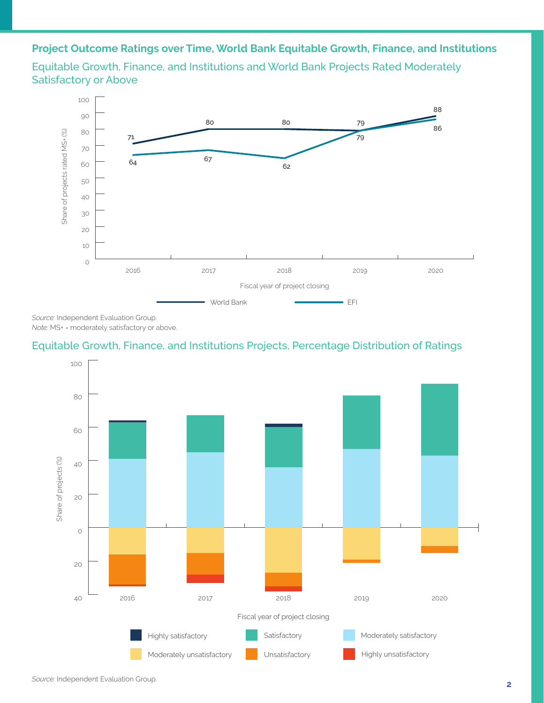# **Project Outcome Ratings over Time, World Bank Equitable Growth, Finance, and Institutions**

Equitable Growth, Finance, and Institutions and World Bank Projects Rated Moderately Satisfactory or Above



*Source:* Independent Evaluation Group. *Note:* MS+ = moderately satisfactory or above.

## Equitable Growth, Finance, and Institutions Projects, Percentage Distribution of Ratings

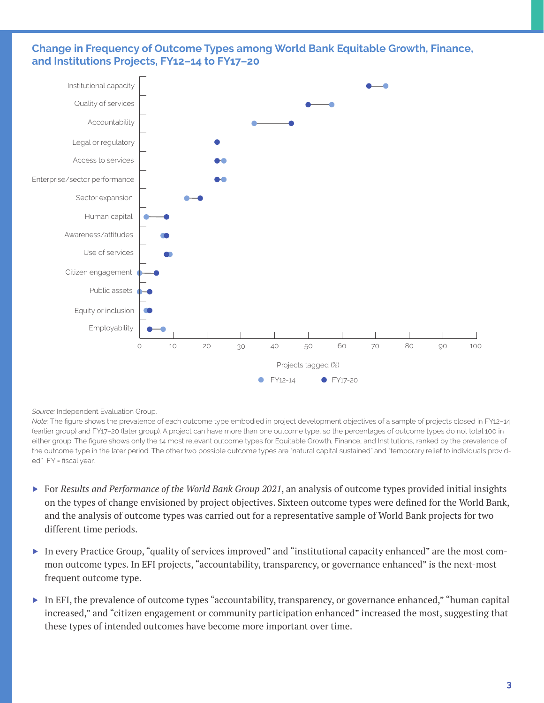### **Change in Frequency of Outcome Types among World Bank Equitable Growth, Finance, and Institutions Projects, FY12–14 to FY17–20**



#### *Source:* Independent Evaluation Group.

*Note:* The figure shows the prevalence of each outcome type embodied in project development objectives of a sample of projects closed in FY12–14 (earlier group) and FY17–20 (later group). A project can have more than one outcome type, so the percentages of outcome types do not total 100 in either group. The figure shows only the 14 most relevant outcome types for Equitable Growth, Finance, and Institutions, ranked by the prevalence of the outcome type in the later period. The other two possible outcome types are "natural capital sustained" and "temporary relief to individuals provided." FY = fiscal year.

- ▶ For *Results and Performance of the World Bank Group 2021*, an analysis of outcome types provided initial insights on the types of change envisioned by project objectives. Sixteen outcome types were defined for the World Bank, and the analysis of outcome types was carried out for a representative sample of World Bank projects for two different time periods.
- ▶ In every Practice Group, "quality of services improved" and "institutional capacity enhanced" are the most common outcome types. In EFI projects, "accountability, transparency, or governance enhanced" is the next-most frequent outcome type.
- ▶ In EFI, the prevalence of outcome types "accountability, transparency, or governance enhanced," "human capital increased," and "citizen engagement or community participation enhanced" increased the most, suggesting that these types of intended outcomes have become more important over time.